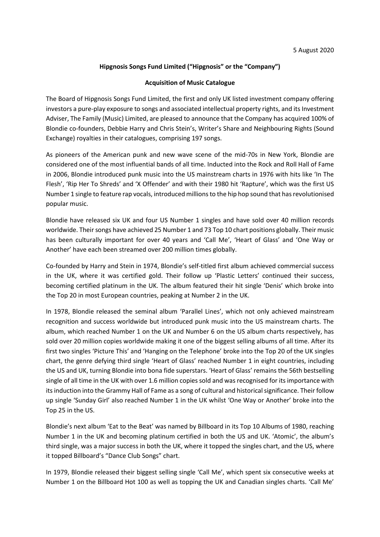#### **Hipgnosis Songs Fund Limited ("Hipgnosis" or the "Company")**

#### **Acquisition of Music Catalogue**

The Board of Hipgnosis Songs Fund Limited, the first and only UK listed investment company offering investors a pure-play exposure to songs and associated intellectual property rights, and its Investment Adviser, The Family (Music) Limited, are pleased to announce that the Company has acquired 100% of Blondie co-founders, Debbie Harry and Chris Stein's, Writer's Share and Neighbouring Rights (Sound Exchange) royalties in their catalogues, comprising 197 songs.

As pioneers of the American punk and new wave scene of the mid-70s in New York, Blondie are considered one of the most influential bands of all time. Inducted into the Rock and Roll Hall of Fame in 2006, Blondie introduced punk music into the US mainstream charts in 1976 with hits like 'In The Flesh', 'Rip Her To Shreds' and 'X Offender' and with their 1980 hit 'Rapture', which was the first US Number 1 single to feature rap vocals, introduced millions to the hip hop sound that has revolutionised popular music.

Blondie have released six UK and four US Number 1 singles and have sold over 40 million records worldwide. Their songs have achieved 25 Number 1 and 73 Top 10 chart positions globally. Their music has been culturally important for over 40 years and 'Call Me', 'Heart of Glass' and 'One Way or Another' have each been streamed over 200 million times globally.

Co-founded by Harry and Stein in 1974, Blondie's self-titled first album achieved commercial success in the UK, where it was certified gold. Their follow up 'Plastic Letters' continued their success, becoming certified platinum in the UK. The album featured their hit single 'Denis' which broke into the Top 20 in most European countries, peaking at Number 2 in the UK.

In 1978, Blondie released the seminal album 'Parallel Lines', which not only achieved mainstream recognition and success worldwide but introduced punk music into the US mainstream charts. The album, which reached Number 1 on the UK and Number 6 on the US album charts respectively, has sold over 20 million copies worldwide making it one of the biggest selling albums of all time. After its first two singles 'Picture This' and 'Hanging on the Telephone' broke into the Top 20 of the UK singles chart, the genre defying third single 'Heart of Glass' reached Number 1 in eight countries, including the US and UK, turning Blondie into bona fide superstars. 'Heart of Glass' remains the 56th bestselling single of all time in the UK with over 1.6 million copies sold and was recognised for its importance with its induction into the Grammy Hall of Fame as a song of cultural and historical significance. Their follow up single 'Sunday Girl' also reached Number 1 in the UK whilst 'One Way or Another' broke into the Top 25 in the US.

Blondie's next album 'Eat to the Beat' was named by Billboard in its Top 10 Albums of 1980, reaching Number 1 in the UK and becoming platinum certified in both the US and UK. 'Atomic', the album's third single, was a major success in both the UK, where it topped the singles chart, and the US, where it topped Billboard's "Dance Club Songs" chart.

In 1979, Blondie released their biggest selling single 'Call Me', which spent six consecutive weeks at Number 1 on the Billboard Hot 100 as well as topping the UK and Canadian singles charts. 'Call Me'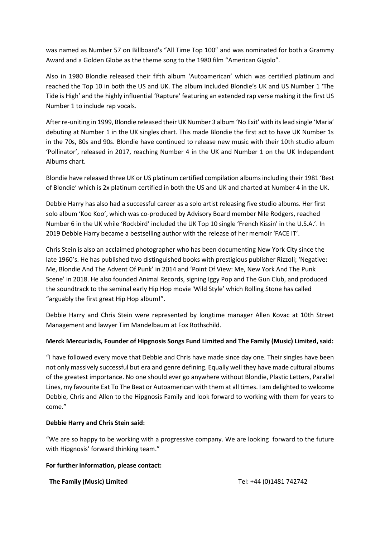was named as Number 57 on Billboard's "All Time Top 100" and was nominated for both a Grammy Award and a Golden Globe as the theme song to the 1980 film "American Gigolo".

Also in 1980 Blondie released their fifth album 'Autoamerican' which was certified platinum and reached the Top 10 in both the US and UK. The album included Blondie's UK and US Number 1 'The Tide is High' and the highly influential 'Rapture' featuring an extended rap verse making it the first US Number 1 to include rap vocals.

After re-uniting in 1999, Blondie released their UK Number 3 album 'No Exit' with its lead single 'Maria' debuting at Number 1 in the UK singles chart. This made Blondie the first act to have UK Number 1s in the 70s, 80s and 90s. Blondie have continued to release new music with their 10th studio album 'Pollinator', released in 2017, reaching Number 4 in the UK and Number 1 on the UK Independent Albums chart.

Blondie have released three UK or US platinum certified compilation albums including their 1981 'Best of Blondie' which is 2x platinum certified in both the US and UK and charted at Number 4 in the UK.

Debbie Harry has also had a successful career as a solo artist releasing five studio albums. Her first solo album 'Koo Koo', which was co-produced by Advisory Board member Nile Rodgers, reached Number 6 in the UK while 'Rockbird' included the UK Top 10 single 'French Kissin' in the U.S.A.'. In 2019 Debbie Harry became a bestselling author with the release of her memoir 'FACE IT'.

Chris Stein is also an acclaimed photographer who has been documenting New York City since the late 1960's. He has published two distinguished books with prestigious publisher Rizzoli; 'Negative: Me, Blondie And The Advent Of Punk' in 2014 and 'Point Of View: Me, New York And The Punk Scene' in 2018. He also founded Animal Records, signing Iggy Pop and The Gun Club, and produced the soundtrack to the seminal early Hip Hop movie 'Wild Style' which Rolling Stone has called "arguably the first great Hip Hop album!".

Debbie Harry and Chris Stein were represented by longtime manager Allen Kovac at 10th Street Management and lawyer Tim Mandelbaum at Fox Rothschild.

# **Merck Mercuriadis, Founder of Hipgnosis Songs Fund Limited and The Family (Music) Limited, said:**

"I have followed every move that Debbie and Chris have made since day one. Their singles have been not only massively successful but era and genre defining. Equally well they have made cultural albums of the greatest importance. No one should ever go anywhere without Blondie, Plastic Letters, Parallel Lines, my favourite Eat To The Beat or Autoamerican with them at all times. I am delighted to welcome Debbie, Chris and Allen to the Hipgnosis Family and look forward to working with them for years to come."

## **Debbie Harry and Chris Stein said:**

"We are so happy to be working with a progressive company. We are looking forward to the future with Hipgnosis' forward thinking team."

## **For further information, please contact:**

**The Family (Music) Limited** Tel: +44 (0)1481 742742